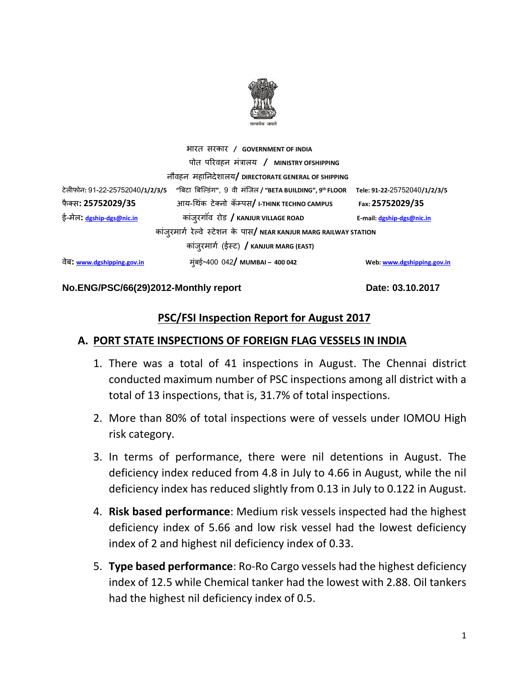

| भारत सरकार / GOVERNMENT OF INDIA          |                                                                    |                              |  |  |  |  |  |  |  |
|-------------------------------------------|--------------------------------------------------------------------|------------------------------|--|--|--|--|--|--|--|
| पोत परिवहन मंत्रालय / MINISTRY OFSHIPPING |                                                                    |                              |  |  |  |  |  |  |  |
|                                           | नौवहन महानिदेशालय/ DIRECTORATE GENERAL OF SHIPPING                 |                              |  |  |  |  |  |  |  |
| ਟੇलीफोन: 91-22-25752040/1/2/3/5           | "बिटा बिल्डिंग", 9 वी मंजिल / "BETA BUILDING", 9th FLOOR           | Tele: 91-22-25752040/1/2/3/5 |  |  |  |  |  |  |  |
| फैक्स: 25752029/35                        | आय-थिंक टेक्नो कॅम्पस/ I-THINK TECHNO CAMPUS                       | Fax: 25752029/35             |  |  |  |  |  |  |  |
| ई-मेल: dgship-dgs@nic.in                  | कांज़्रगॉव रोड / KANJUR VILLAGE ROAD                               | E-mail: dgship-dgs@nic.in    |  |  |  |  |  |  |  |
|                                           | कांजुरमार्ग रेल्वे स्टेशन के पास/ NEAR KANJUR MARG RAILWAY STATION |                              |  |  |  |  |  |  |  |
|                                           | कांज़्रमार्ग (ईस्ट) / KANJUR MARG (EAST)                           |                              |  |  |  |  |  |  |  |
| वेब: <u>www.dgshipping.gov.in</u>         | म्ंबई-400 042/ м∪мваı – 400 042                                    | Web: www.dgshipping.gov.in   |  |  |  |  |  |  |  |

#### No.ENG/PSC/66(29)2012-Monthly report Date: 03.10.2017

#### **PSC/FSI Inspection Report for August 2017**

## **A. PORT STATE INSPECTIONS OF FOREIGN FLAG VESSELS IN INDIA**

- 1. There was a total of 41 inspections in August. The Chennai district conducted maximum number of PSC inspections among all district with a total of 13 inspections, that is, 31.7% of total inspections.
- 2. More than 80% of total inspections were of vessels under IOMOU High risk category.
- 3. In terms of performance, there were nil detentions in August. The deficiency index reduced from 4.8 in July to 4.66 in August, while the nil deficiency index has reduced slightly from 0.13 in July to 0.122 in August.
- 4. **Risk based performance**: Medium risk vessels inspected had the highest deficiency index of 5.66 and low risk vessel had the lowest deficiency index of 2 and highest nil deficiency index of 0.33.
- 5. **Type based performance**: Ro-Ro Cargo vessels had the highest deficiency index of 12.5 while Chemical tanker had the lowest with 2.88. Oil tankers had the highest nil deficiency index of 0.5.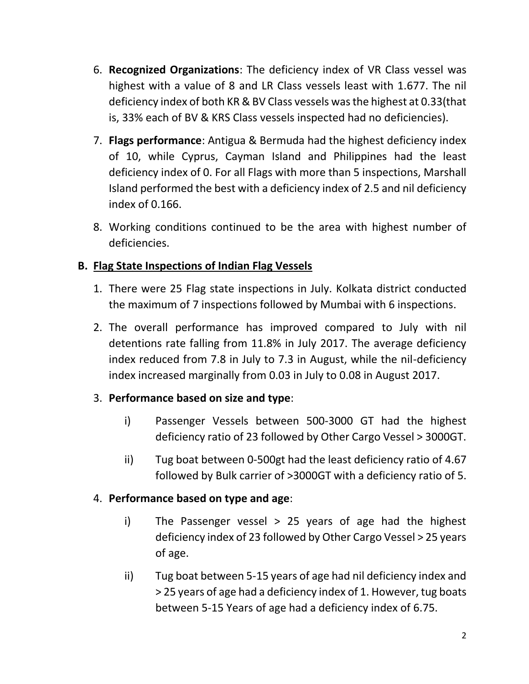- 6. **Recognized Organizations**: The deficiency index of VR Class vessel was highest with a value of 8 and LR Class vessels least with 1.677. The nil deficiency index of both KR & BV Class vessels was the highest at 0.33(that is, 33% each of BV & KRS Class vessels inspected had no deficiencies).
- 7. **Flags performance**: Antigua & Bermuda had the highest deficiency index of 10, while Cyprus, Cayman Island and Philippines had the least deficiency index of 0. For all Flags with more than 5 inspections, Marshall Island performed the best with a deficiency index of 2.5 and nil deficiency index of 0.166.
- 8. Working conditions continued to be the area with highest number of deficiencies.

# **B. Flag State Inspections of Indian Flag Vessels**

- 1. There were 25 Flag state inspections in July. Kolkata district conducted the maximum of 7 inspections followed by Mumbai with 6 inspections.
- 2. The overall performance has improved compared to July with nil detentions rate falling from 11.8% in July 2017. The average deficiency index reduced from 7.8 in July to 7.3 in August, while the nil-deficiency index increased marginally from 0.03 in July to 0.08 in August 2017.

# 3. **Performance based on size and type**:

- i) Passenger Vessels between 500-3000 GT had the highest deficiency ratio of 23 followed by Other Cargo Vessel > 3000GT.
- ii) Tug boat between 0-500gt had the least deficiency ratio of 4.67 followed by Bulk carrier of >3000GT with a deficiency ratio of 5.

# 4. **Performance based on type and age**:

- i) The Passenger vessel > 25 years of age had the highest deficiency index of 23 followed by Other Cargo Vessel > 25 years of age.
- ii) Tug boat between 5-15 years of age had nil deficiency index and > 25 years of age had a deficiency index of 1. However, tug boats between 5-15 Years of age had a deficiency index of 6.75.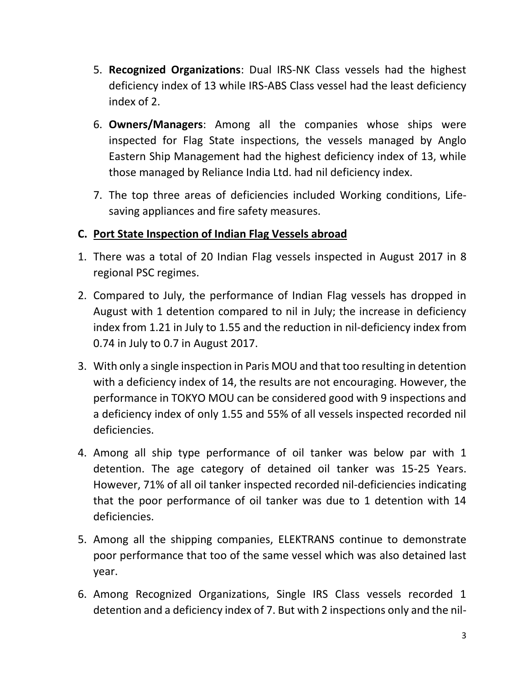- 5. **Recognized Organizations**: Dual IRS-NK Class vessels had the highest deficiency index of 13 while IRS-ABS Class vessel had the least deficiency index of 2.
- 6. **Owners/Managers**: Among all the companies whose ships were inspected for Flag State inspections, the vessels managed by Anglo Eastern Ship Management had the highest deficiency index of 13, while those managed by Reliance India Ltd. had nil deficiency index.
- 7. The top three areas of deficiencies included Working conditions, Lifesaving appliances and fire safety measures.

# **C. Port State Inspection of Indian Flag Vessels abroad**

- 1. There was a total of 20 Indian Flag vessels inspected in August 2017 in 8 regional PSC regimes.
- 2. Compared to July, the performance of Indian Flag vessels has dropped in August with 1 detention compared to nil in July; the increase in deficiency index from 1.21 in July to 1.55 and the reduction in nil-deficiency index from 0.74 in July to 0.7 in August 2017.
- 3. With only a single inspection in Paris MOU and that too resulting in detention with a deficiency index of 14, the results are not encouraging. However, the performance in TOKYO MOU can be considered good with 9 inspections and a deficiency index of only 1.55 and 55% of all vessels inspected recorded nil deficiencies.
- 4. Among all ship type performance of oil tanker was below par with 1 detention. The age category of detained oil tanker was 15-25 Years. However, 71% of all oil tanker inspected recorded nil-deficiencies indicating that the poor performance of oil tanker was due to 1 detention with 14 deficiencies.
- 5. Among all the shipping companies, ELEKTRANS continue to demonstrate poor performance that too of the same vessel which was also detained last year.
- 6. Among Recognized Organizations, Single IRS Class vessels recorded 1 detention and a deficiency index of 7. But with 2 inspections only and the nil-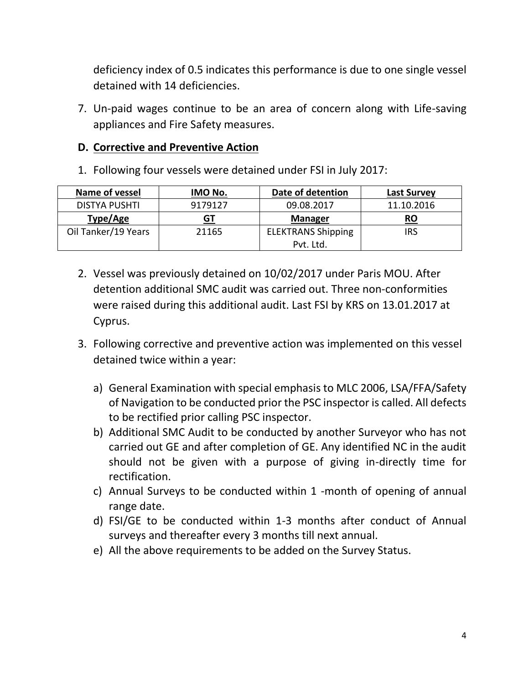deficiency index of 0.5 indicates this performance is due to one single vessel detained with 14 deficiencies.

7. Un-paid wages continue to be an area of concern along with Life-saving appliances and Fire Safety measures.

## **D. Corrective and Preventive Action**

1. Following four vessels were detained under FSI in July 2017:

| Name of vessel       | IMO No. | Date of detention         | <b>Last Survey</b> |
|----------------------|---------|---------------------------|--------------------|
| <b>DISTYA PUSHTI</b> | 9179127 | 09.08.2017                | 11.10.2016         |
| Type/Age             | GT      | <b>Manager</b>            | <b>RO</b>          |
| Oil Tanker/19 Years  | 21165   | <b>ELEKTRANS Shipping</b> | IRS                |
|                      |         | Pvt. Ltd.                 |                    |

- 2. Vessel was previously detained on 10/02/2017 under Paris MOU. After detention additional SMC audit was carried out. Three non-conformities were raised during this additional audit. Last FSI by KRS on 13.01.2017 at Cyprus.
- 3. Following corrective and preventive action was implemented on this vessel detained twice within a year:
	- a) General Examination with special emphasis to MLC 2006, LSA/FFA/Safety of Navigation to be conducted prior the PSC inspector is called. All defects to be rectified prior calling PSC inspector.
	- b) Additional SMC Audit to be conducted by another Surveyor who has not carried out GE and after completion of GE. Any identified NC in the audit should not be given with a purpose of giving in-directly time for rectification.
	- c) Annual Surveys to be conducted within 1 -month of opening of annual range date.
	- d) FSI/GE to be conducted within 1-3 months after conduct of Annual surveys and thereafter every 3 months till next annual.
	- e) All the above requirements to be added on the Survey Status.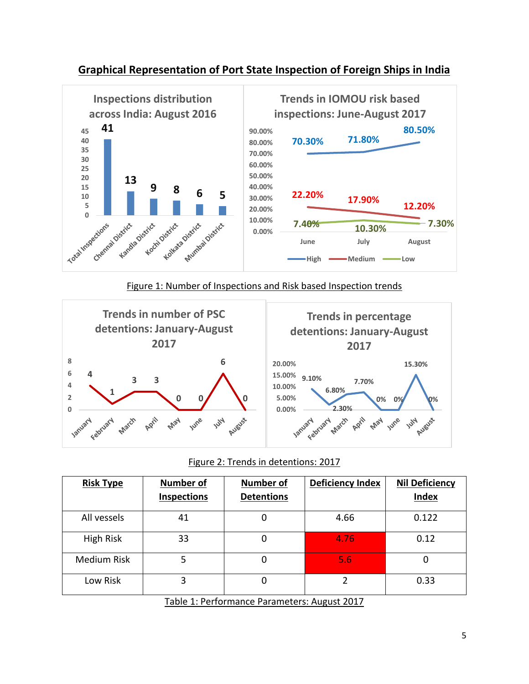

## **Graphical Representation of Port State Inspection of Foreign Ships in India**

#### Figure 1: Number of Inspections and Risk based Inspection trends



#### Figure 2: Trends in detentions: 2017

| <b>Risk Type</b> | <b>Number of</b><br><b>Inspections</b> | <b>Number of</b><br><b>Detentions</b>        | <b>Deficiency Index</b> | <b>Nil Deficiency</b><br><b>Index</b> |  |
|------------------|----------------------------------------|----------------------------------------------|-------------------------|---------------------------------------|--|
| All vessels      | 41                                     |                                              | 4.66                    | 0.122                                 |  |
| High Risk        | 33                                     | 0                                            | 4.76                    | 0.12                                  |  |
| Medium Risk      | 5                                      | 0                                            | 5.6                     |                                       |  |
| Low Risk         | 3                                      | 0                                            | 2                       | 0.33                                  |  |
|                  |                                        | Table 1: Performance Parameters: August 2017 |                         |                                       |  |

<u>Table 1: Performance Parameters: August 2017</u>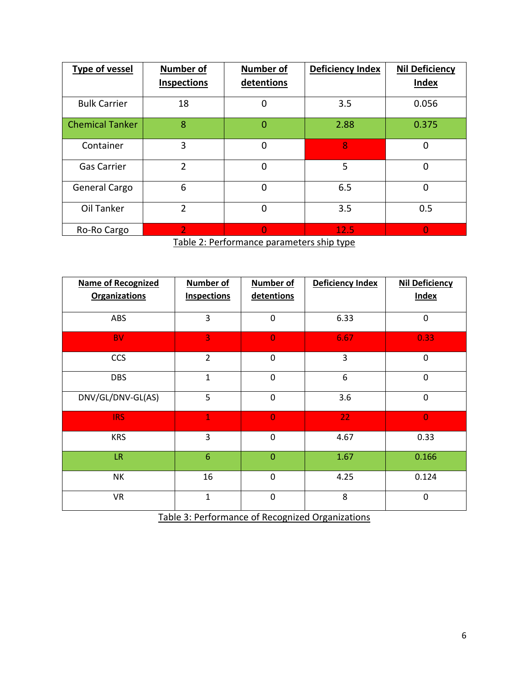| <b>Type of vessel</b>  | <b>Number of</b>   | <b>Number of</b> | <b>Deficiency Index</b> | <b>Nil Deficiency</b> |  |
|------------------------|--------------------|------------------|-------------------------|-----------------------|--|
|                        | <b>Inspections</b> | detentions       |                         | <b>Index</b>          |  |
| <b>Bulk Carrier</b>    | 18                 | $\overline{0}$   | 3.5                     | 0.056                 |  |
| <b>Chemical Tanker</b> | 8                  | $\Omega$         | 2.88                    | 0.375                 |  |
| Container              | 3                  | 0                | 8                       | 0                     |  |
| <b>Gas Carrier</b>     | $\mathfrak{p}$     | $\mathbf 0$      | 5                       | 0                     |  |
| General Cargo          | 6                  | 0                | 6.5                     | 0                     |  |
| Oil Tanker             | 2                  | $\mathbf 0$      | 3.5                     | 0.5                   |  |
| Ro-Ro Cargo            | 2                  | 0                | 12.5                    | O                     |  |

Table 2: Performance parameters ship type

| <b>Name of Recognized</b><br><b>Organizations</b> | <b>Number of</b><br><b>Inspections</b> | <b>Number of</b><br>detentions | Deficiency Index | <b>Nil Deficiency</b><br><b>Index</b> |
|---------------------------------------------------|----------------------------------------|--------------------------------|------------------|---------------------------------------|
| ABS                                               | 3                                      | $\mathbf 0$                    | 6.33             | 0                                     |
| <b>BV</b>                                         | 3                                      | $\overline{0}$                 | 6.67             | 0.33                                  |
| <b>CCS</b>                                        | $\overline{2}$                         | $\mathbf 0$                    | 3                | $\Omega$                              |
| <b>DBS</b>                                        | $\mathbf{1}$                           | $\mathbf 0$                    | 6                | 0                                     |
| DNV/GL/DNV-GL(AS)                                 | 5                                      | $\mathbf 0$                    | 3.6              | $\mathbf 0$                           |
| IRS:                                              | $\overline{1}$                         | $\overline{0}$                 | 22               | $\Omega$                              |
| <b>KRS</b>                                        | 3                                      | $\mathbf 0$                    | 4.67             | 0.33                                  |
| LR.                                               | $6\phantom{1}6$                        | $\overline{0}$                 | 1.67             | 0.166                                 |
| NΚ                                                | 16                                     | $\mathbf 0$                    | 4.25             | 0.124                                 |
| <b>VR</b>                                         | $\mathbf{1}$                           | $\mathbf 0$                    | 8                | $\Omega$                              |

Table 3: Performance of Recognized Organizations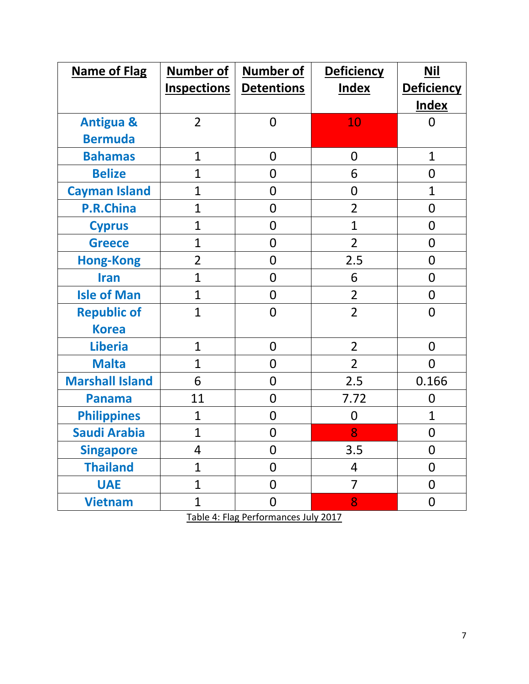| <b>Name of Flag</b>    | <b>Number of</b>   | <b>Number of</b>  | <b>Deficiency</b>        | <b>Nil</b>        |
|------------------------|--------------------|-------------------|--------------------------|-------------------|
|                        | <b>Inspections</b> | <b>Detentions</b> | <b>Index</b>             | <b>Deficiency</b> |
|                        |                    |                   |                          | <b>Index</b>      |
| <b>Antigua &amp;</b>   | $\overline{2}$     | $\overline{0}$    | 10                       | 0                 |
| <b>Bermuda</b>         |                    |                   |                          |                   |
| <b>Bahamas</b>         | $\mathbf{1}$       | $\overline{0}$    | $\overline{0}$           | $\mathbf{1}$      |
| <b>Belize</b>          | $\mathbf{1}$       | 0                 | 6                        | $\boldsymbol{0}$  |
| <b>Cayman Island</b>   | $\mathbf{1}$       | 0                 | $\mathbf 0$              | 1                 |
| <b>P.R.China</b>       | $\mathbf{1}$       | $\overline{0}$    | $\overline{2}$           | $\overline{0}$    |
| <b>Cyprus</b>          | $\mathbf{1}$       | 0                 | $\overline{1}$           | $\mathbf 0$       |
| <b>Greece</b>          | $\mathbf{1}$       | 0                 | $\overline{2}$           | $\mathbf 0$       |
| <b>Hong-Kong</b>       | $\overline{2}$     | $\overline{0}$    | 2.5                      | $\overline{0}$    |
| <b>Iran</b>            | $\mathbf{1}$       | $\overline{0}$    | 6                        | $\mathbf 0$       |
| <b>Isle of Man</b>     | $\mathbf{1}$       | 0                 | $\overline{2}$           | $\mathbf 0$       |
| <b>Republic of</b>     | $\overline{1}$     | $\overline{0}$    | $\overline{2}$           | $\overline{0}$    |
| <b>Korea</b>           |                    |                   |                          |                   |
| <b>Liberia</b>         | $\mathbf{1}$       | $\overline{0}$    | $\overline{2}$           | $\overline{0}$    |
| <b>Malta</b>           | $\mathbf{1}$       | 0                 | $\overline{2}$           | $\overline{0}$    |
| <b>Marshall Island</b> | 6                  | 0                 | 2.5                      | 0.166             |
| <b>Panama</b>          | 11                 | $\overline{0}$    | 7.72                     | $\overline{0}$    |
| <b>Philippines</b>     | $\mathbf{1}$       | $\overline{0}$    | $\overline{0}$           | $\mathbf{1}$      |
| <b>Saudi Arabia</b>    | $\mathbf{1}$       | 0                 | 8                        | $\boldsymbol{0}$  |
| <b>Singapore</b>       | $\overline{4}$     | $\overline{0}$    | 3.5                      | $\mathbf 0$       |
| <b>Thailand</b>        | $\mathbf{1}$       | $\overline{0}$    | $\overline{\mathcal{A}}$ | $\mathbf 0$       |
| <b>UAE</b>             | $\mathbf{1}$       | $\overline{0}$    | $\overline{7}$           | $\mathbf 0$       |
| <b>Vietnam</b>         | $\mathbf{1}$       | $\boldsymbol{0}$  | 8                        | $\mathbf 0$       |

Table 4: Flag Performances July 2017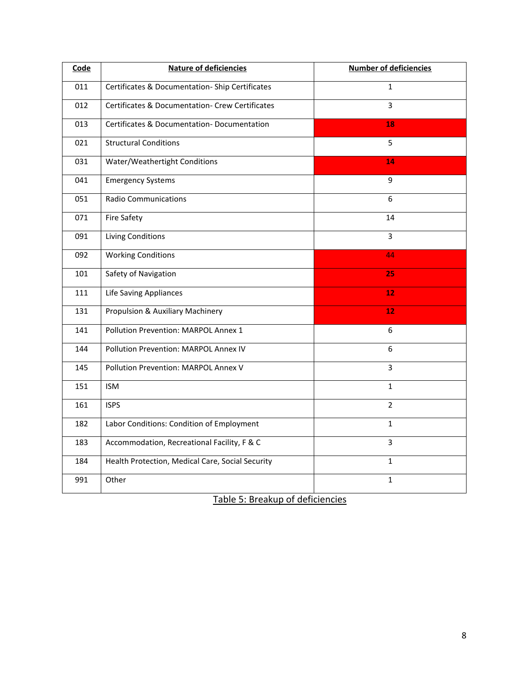| Code | <b>Nature of deficiencies</b>                    | <b>Number of deficiencies</b> |
|------|--------------------------------------------------|-------------------------------|
| 011  | Certificates & Documentation-Ship Certificates   | $\mathbf{1}$                  |
| 012  | Certificates & Documentation- Crew Certificates  | $\overline{3}$                |
| 013  | Certificates & Documentation-Documentation       | 18                            |
| 021  | <b>Structural Conditions</b>                     | 5                             |
| 031  | Water/Weathertight Conditions                    | 14                            |
| 041  | <b>Emergency Systems</b>                         | 9                             |
| 051  | <b>Radio Communications</b>                      | 6                             |
| 071  | <b>Fire Safety</b>                               | 14                            |
| 091  | <b>Living Conditions</b>                         | $\overline{3}$                |
| 092  | <b>Working Conditions</b>                        | 44                            |
| 101  | Safety of Navigation                             | 25                            |
| 111  | Life Saving Appliances                           | 12                            |
| 131  | Propulsion & Auxiliary Machinery                 | 12                            |
| 141  | Pollution Prevention: MARPOL Annex 1             | 6                             |
| 144  | Pollution Prevention: MARPOL Annex IV            | 6                             |
| 145  | Pollution Prevention: MARPOL Annex V             | 3                             |
| 151  | <b>ISM</b>                                       | $\mathbf{1}$                  |
| 161  | <b>ISPS</b>                                      | $\overline{2}$                |
| 182  | Labor Conditions: Condition of Employment        | $\mathbf{1}$                  |
| 183  | Accommodation, Recreational Facility, F & C      | 3                             |
| 184  | Health Protection, Medical Care, Social Security | $\mathbf{1}$                  |
| 991  | Other                                            | $\mathbf{1}$                  |

Table 5: Breakup of deficiencies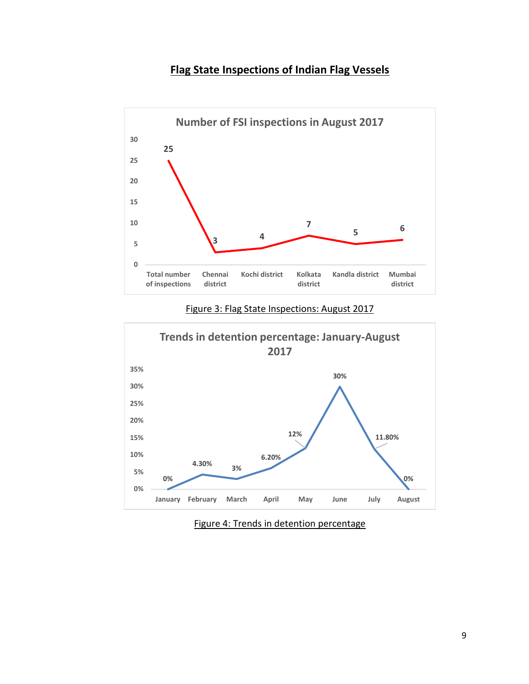## **Flag State Inspections of Indian Flag Vessels**



#### Figure 3: Flag State Inspections: August 2017



#### Figure 4: Trends in detention percentage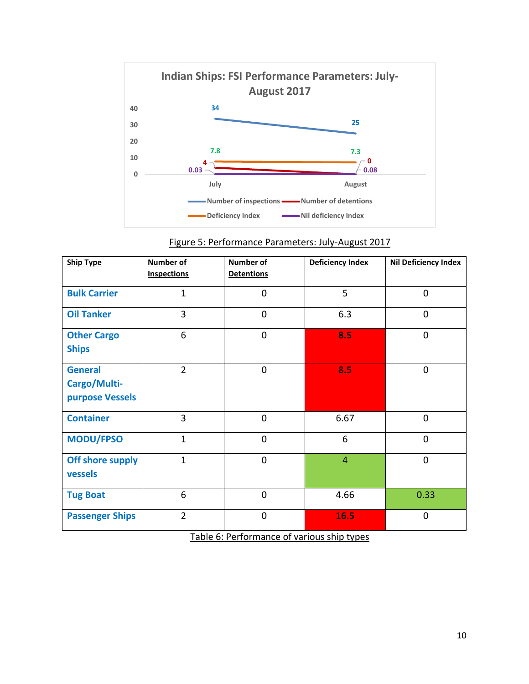

| <b>Ship Type</b>                                  | <b>Number of</b><br><b>Inspections</b> | <b>Number of</b><br><b>Detentions</b> | Deficiency Index | Nil Deficiency Index |
|---------------------------------------------------|----------------------------------------|---------------------------------------|------------------|----------------------|
| <b>Bulk Carrier</b>                               | $\mathbf{1}$                           | $\overline{0}$                        | 5                | $\overline{0}$       |
| <b>Oil Tanker</b>                                 | 3                                      | $\overline{0}$                        | 6.3              | $\overline{0}$       |
| <b>Other Cargo</b><br><b>Ships</b>                | 6                                      | $\overline{0}$                        | 8.5              | $\overline{0}$       |
| <b>General</b><br>Cargo/Multi-<br>purpose Vessels | $\overline{2}$                         | $\overline{0}$                        | 8.5              | 0                    |
| <b>Container</b>                                  | $\overline{3}$                         | $\overline{0}$                        | 6.67             | $\overline{0}$       |
| <b>MODU/FPSO</b>                                  | $\mathbf{1}$                           | $\overline{0}$                        | 6                | $\overline{0}$       |
| Off shore supply<br>vessels                       | $\mathbf{1}$                           | $\overline{0}$                        | $\overline{4}$   | $\overline{0}$       |
| <b>Tug Boat</b>                                   | 6                                      | $\mathbf 0$                           | 4.66             | 0.33                 |
| <b>Passenger Ships</b>                            | $\overline{2}$                         | $\overline{0}$                        | 16.5             | 0                    |

| Figure 5: Performance Parameters: July-August 2017 |
|----------------------------------------------------|
|----------------------------------------------------|

Table 6: Performance of various ship types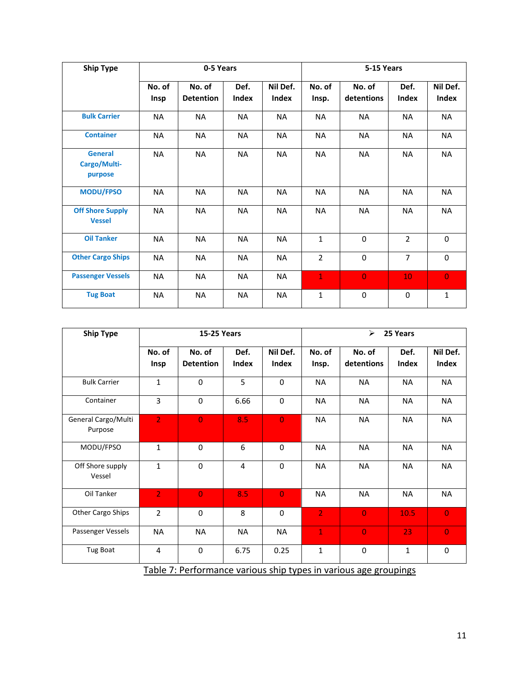| <b>Ship Type</b>                          |                | 0-5 Years                  |               |                   | 5-15 Years      |                      |                      |                   |
|-------------------------------------------|----------------|----------------------------|---------------|-------------------|-----------------|----------------------|----------------------|-------------------|
|                                           | No. of<br>Insp | No. of<br><b>Detention</b> | Def.<br>Index | Nil Def.<br>Index | No. of<br>Insp. | No. of<br>detentions | Def.<br><b>Index</b> | Nil Def.<br>Index |
| <b>Bulk Carrier</b>                       | <b>NA</b>      | <b>NA</b>                  | <b>NA</b>     | <b>NA</b>         | <b>NA</b>       | <b>NA</b>            | <b>NA</b>            | <b>NA</b>         |
| <b>Container</b>                          | <b>NA</b>      | <b>NA</b>                  | NA            | <b>NA</b>         | NA              | <b>NA</b>            | <b>NA</b>            | NA                |
| <b>General</b><br>Cargo/Multi-<br>purpose | <b>NA</b>      | <b>NA</b>                  | <b>NA</b>     | <b>NA</b>         | <b>NA</b>       | <b>NA</b>            | <b>NA</b>            | <b>NA</b>         |
| <b>MODU/FPSO</b>                          | <b>NA</b>      | <b>NA</b>                  | <b>NA</b>     | <b>NA</b>         | <b>NA</b>       | <b>NA</b>            | <b>NA</b>            | <b>NA</b>         |
| <b>Off Shore Supply</b><br><b>Vessel</b>  | <b>NA</b>      | <b>NA</b>                  | <b>NA</b>     | <b>NA</b>         | <b>NA</b>       | <b>NA</b>            | <b>NA</b>            | <b>NA</b>         |
| <b>Oil Tanker</b>                         | <b>NA</b>      | <b>NA</b>                  | <b>NA</b>     | <b>NA</b>         | $\mathbf{1}$    | $\Omega$             | $\overline{2}$       | $\Omega$          |
| <b>Other Cargo Ships</b>                  | <b>NA</b>      | NA                         | NA            | <b>NA</b>         | $\overline{2}$  | 0                    | $\overline{7}$       | $\Omega$          |
| <b>Passenger Vessels</b>                  | <b>NA</b>      | <b>NA</b>                  | NA            | <b>NA</b>         | $\mathbf{1}$    | $\overline{0}$       | 10                   | $\overline{0}$    |
| <b>Tug Boat</b>                           | <b>NA</b>      | <b>NA</b>                  | <b>NA</b>     | <b>NA</b>         | $\mathbf{1}$    | $\Omega$             | $\mathbf 0$          | $\mathbf{1}$      |

| <b>Ship Type</b>               | <b>15-25 Years</b> |                            |               |                   |                 | $\blacktriangleright$<br>25 Years |                      |                   |  |
|--------------------------------|--------------------|----------------------------|---------------|-------------------|-----------------|-----------------------------------|----------------------|-------------------|--|
|                                | No. of<br>Insp     | No. of<br><b>Detention</b> | Def.<br>Index | Nil Def.<br>Index | No. of<br>Insp. | No. of<br>detentions              | Def.<br><b>Index</b> | Nil Def.<br>Index |  |
| <b>Bulk Carrier</b>            | $\mathbf{1}$       | $\Omega$                   | 5             | $\Omega$          | <b>NA</b>       | <b>NA</b>                         | <b>NA</b>            | <b>NA</b>         |  |
| Container                      | 3                  | 0                          | 6.66          | $\mathbf 0$       | <b>NA</b>       | <b>NA</b>                         | <b>NA</b>            | NA                |  |
| General Cargo/Multi<br>Purpose | $\overline{2}$     | $\overline{0}$             | 8.5           | $\overline{0}$    | <b>NA</b>       | <b>NA</b>                         | <b>NA</b>            | <b>NA</b>         |  |
| MODU/FPSO                      | $\mathbf{1}$       | $\mathbf 0$                | 6             | $\mathbf 0$       | <b>NA</b>       | <b>NA</b>                         | <b>NA</b>            | NA                |  |
| Off Shore supply<br>Vessel     | $\mathbf{1}$       | $\Omega$                   | 4             | $\Omega$          | <b>NA</b>       | <b>NA</b>                         | <b>NA</b>            | <b>NA</b>         |  |
| Oil Tanker                     | $\overline{2}$     | $\overline{0}$             | 8.5           | $\overline{0}$    | <b>NA</b>       | <b>NA</b>                         | <b>NA</b>            | NA                |  |
| Other Cargo Ships              | $\overline{2}$     | $\mathbf 0$                | 8             | $\mathbf 0$       | $\overline{2}$  | $\overline{0}$                    | 10.5                 | $\overline{0}$    |  |
| Passenger Vessels              | <b>NA</b>          | <b>NA</b>                  | <b>NA</b>     | <b>NA</b>         | $\mathbf{1}$    | $\overline{0}$                    | 23                   | $\overline{0}$    |  |
| Tug Boat                       | 4                  | $\mathbf 0$                | 6.75          | 0.25              | $\mathbf{1}$    | $\mathbf 0$                       | $\mathbf{1}$         | 0                 |  |

Table 7: Performance various ship types in various age groupings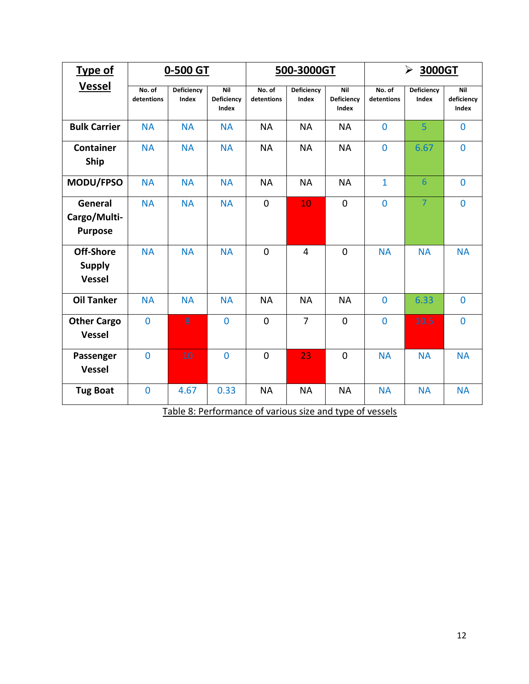| <b>Type of</b>                              | 0-500 GT             |                            |                            |                      | 500-3000GT          |                            | $\blacktriangleright$<br>3000GT |                     |                                   |  |
|---------------------------------------------|----------------------|----------------------------|----------------------------|----------------------|---------------------|----------------------------|---------------------------------|---------------------|-----------------------------------|--|
| <b>Vessel</b>                               | No. of<br>detentions | <b>Deficiency</b><br>Index | Nil<br>Deficiency<br>Index | No. of<br>detentions | Deficiency<br>Index | Nil<br>Deficiency<br>Index | No. of<br>detentions            | Deficiency<br>Index | Nil<br>deficiency<br><b>Index</b> |  |
| <b>Bulk Carrier</b>                         | <b>NA</b>            | <b>NA</b>                  | <b>NA</b>                  | <b>NA</b>            | <b>NA</b>           | <b>NA</b>                  | $\overline{0}$                  | $\overline{5}$      | $\overline{0}$                    |  |
| <b>Container</b><br>Ship                    | <b>NA</b>            | <b>NA</b>                  | <b>NA</b>                  | <b>NA</b>            | <b>NA</b>           | <b>NA</b>                  | $\overline{0}$                  | 6.67                | $\mathbf{0}$                      |  |
| MODU/FPSO                                   | <b>NA</b>            | <b>NA</b>                  | <b>NA</b>                  | <b>NA</b>            | <b>NA</b>           | <b>NA</b>                  | $\mathbf{1}$                    | $6\phantom{1}6$     | $\mathbf 0$                       |  |
| General<br>Cargo/Multi-<br><b>Purpose</b>   | <b>NA</b>            | <b>NA</b>                  | <b>NA</b>                  | $\overline{0}$       | 10                  | $\mathbf 0$                | $\overline{0}$                  | $\overline{7}$      | $\mathbf{0}$                      |  |
| Off-Shore<br><b>Supply</b><br><b>Vessel</b> | <b>NA</b>            | <b>NA</b>                  | <b>NA</b>                  | $\mathbf 0$          | $\overline{4}$      | $\mathbf 0$                | <b>NA</b>                       | <b>NA</b>           | <b>NA</b>                         |  |
| <b>Oil Tanker</b>                           | <b>NA</b>            | <b>NA</b>                  | <b>NA</b>                  | <b>NA</b>            | <b>NA</b>           | <b>NA</b>                  | $\mathbf 0$                     | 6.33                | $\mathbf 0$                       |  |
| <b>Other Cargo</b><br><b>Vessel</b>         | $\overline{0}$       | 8                          | $\overline{0}$             | $\overline{0}$       | $\overline{7}$      | $\mathbf 0$                | $\overline{0}$                  | 10.5                | $\overline{0}$                    |  |
| Passenger<br><b>Vessel</b>                  | $\overline{0}$       | 10                         | $\overline{0}$             | $\mathbf 0$          | 23                  | $\mathbf 0$                | <b>NA</b>                       | <b>NA</b>           | <b>NA</b>                         |  |
| <b>Tug Boat</b>                             | $\mathbf 0$          | 4.67                       | 0.33                       | <b>NA</b>            | <b>NA</b>           | <b>NA</b>                  | <b>NA</b>                       | <b>NA</b>           | <b>NA</b>                         |  |

Table 8: Performance of various size and type of vessels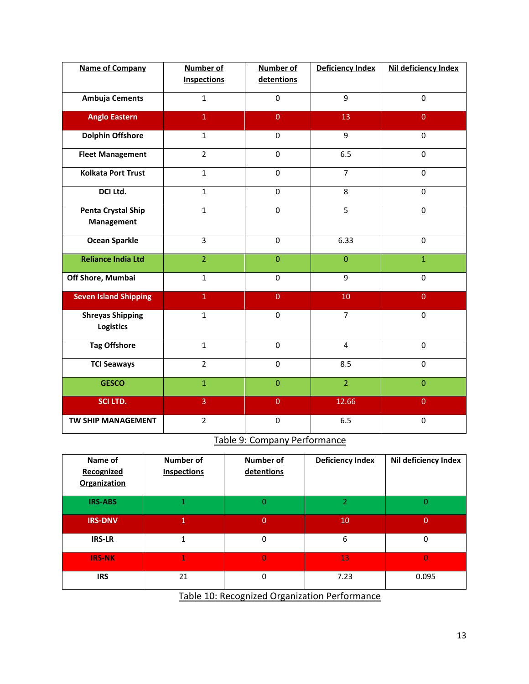| <b>Name of Company</b>                         | Number of<br><b>Inspections</b> | Number of<br>detentions | Deficiency Index | Nil deficiency Index |
|------------------------------------------------|---------------------------------|-------------------------|------------------|----------------------|
|                                                |                                 |                         |                  |                      |
| Ambuja Cements                                 | $\mathbf{1}$                    | $\pmb{0}$               | $\overline{9}$   | $\mathbf 0$          |
| <b>Anglo Eastern</b>                           | $\mathbf{1}$                    | $\overline{0}$          | 13               | $\overline{0}$       |
| <b>Dolphin Offshore</b>                        | $\mathbf{1}$                    | 0                       | 9                | $\Omega$             |
| <b>Fleet Management</b>                        | $\overline{2}$                  | $\mathbf 0$             | 6.5              | $\mathbf 0$          |
| <b>Kolkata Port Trust</b>                      | $\mathbf{1}$                    | $\mathbf 0$             | $\overline{7}$   | $\mathbf 0$          |
| DCI Ltd.                                       | $\mathbf{1}$                    | $\mathbf 0$             | 8                | $\mathbf 0$          |
| <b>Penta Crystal Ship</b><br><b>Management</b> | $\mathbf{1}$                    | $\mathbf 0$             | 5                | $\mathbf 0$          |
| <b>Ocean Sparkle</b>                           | $\overline{3}$                  | $\mathbf 0$             | 6.33             | $\mathbf 0$          |
| <b>Reliance India Ltd</b>                      | $\overline{2}$                  | $\overline{0}$          | $\mathbf{0}$     | $\mathbf{1}$         |
| Off Shore, Mumbai                              | $\mathbf{1}$                    | 0                       | 9                | $\Omega$             |
| <b>Seven Island Shipping</b>                   | $\overline{1}$                  | $\overline{0}$          | 10               | $\overline{0}$       |
| <b>Shreyas Shipping</b><br><b>Logistics</b>    | $\mathbf{1}$                    | 0                       | $\overline{7}$   | $\mathbf 0$          |
| <b>Tag Offshore</b>                            | $\mathbf{1}$                    | 0                       | $\overline{4}$   | $\mathbf 0$          |
| <b>TCI Seaways</b>                             | $\overline{2}$                  | 0                       | 8.5              | $\mathbf 0$          |
| <b>GESCO</b>                                   | $\overline{1}$                  | $\overline{0}$          | $\overline{2}$   | $\overline{0}$       |
| SCI LTD.                                       | 3                               | $\overline{0}$          | 12.66            | $\overline{0}$       |
| TW SHIP MANAGEMENT                             | $\overline{2}$                  | $\mathbf 0$             | 6.5              | $\mathbf 0$          |

Table 9: Company Performance

| Name of<br>Recognized<br><b>Organization</b> | Number of<br><b>Inspections</b> | <b>Number of</b><br>detentions                | <b>Deficiency Index</b> | Nil deficiency Index |
|----------------------------------------------|---------------------------------|-----------------------------------------------|-------------------------|----------------------|
| <b>IRS-ABS</b>                               | 1                               | $\overline{0}$                                | 2                       | $\Omega$             |
| <b>IRS-DNV</b>                               | 1                               | $\overline{0}$                                | 10                      | $\Omega$             |
| <b>IRS-LR</b>                                | 1                               | 0                                             | 6                       | $\Omega$             |
| <b>IRS-NK</b>                                | 1                               | $\overline{0}$                                | 13                      | 0                    |
| <b>IRS</b>                                   | 21                              | 0                                             | 7.23                    | 0.095                |
|                                              |                                 | Table 10: Researcted Organization Regionmense |                         |                      |

Table 10: Recognized Organization Performance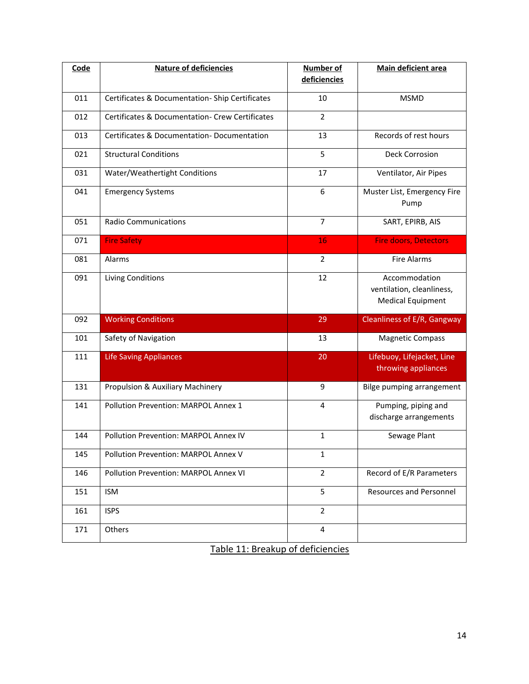| Code | <b>Nature of deficiencies</b>                              | <b>Number of</b><br>deficiencies | Main deficient area                                                    |
|------|------------------------------------------------------------|----------------------------------|------------------------------------------------------------------------|
| 011  | Certificates & Documentation-Ship Certificates             | 10                               | <b>MSMD</b>                                                            |
| 012  | <b>Certificates &amp; Documentation- Crew Certificates</b> | $\overline{2}$                   |                                                                        |
| 013  | Certificates & Documentation-Documentation                 | 13                               | Records of rest hours                                                  |
| 021  | <b>Structural Conditions</b>                               | 5                                | <b>Deck Corrosion</b>                                                  |
| 031  | Water/Weathertight Conditions                              | 17                               | Ventilator, Air Pipes                                                  |
| 041  | <b>Emergency Systems</b>                                   | 6                                | Muster List, Emergency Fire<br>Pump                                    |
| 051  | <b>Radio Communications</b>                                | $\overline{7}$                   | SART, EPIRB, AIS                                                       |
| 071  | <b>Fire Safety</b>                                         | 16                               | <b>Fire doors, Detectors</b>                                           |
| 081  | Alarms                                                     | $\overline{2}$                   | <b>Fire Alarms</b>                                                     |
| 091  | <b>Living Conditions</b>                                   | 12                               | Accommodation<br>ventilation, cleanliness,<br><b>Medical Equipment</b> |
| 092  | <b>Working Conditions</b>                                  | 29                               | Cleanliness of E/R, Gangway                                            |
| 101  | Safety of Navigation                                       | 13                               | <b>Magnetic Compass</b>                                                |
| 111  | <b>Life Saving Appliances</b>                              | 20                               | Lifebuoy, Lifejacket, Line<br>throwing appliances                      |
| 131  | Propulsion & Auxiliary Machinery                           | 9                                | Bilge pumping arrangement                                              |
| 141  | Pollution Prevention: MARPOL Annex 1                       | 4                                | Pumping, piping and<br>discharge arrangements                          |
| 144  | Pollution Prevention: MARPOL Annex IV                      | $\mathbf{1}$                     | Sewage Plant                                                           |
| 145  | Pollution Prevention: MARPOL Annex V                       | $\mathbf 1$                      |                                                                        |
| 146  | Pollution Prevention: MARPOL Annex VI                      | $\overline{2}$                   | Record of E/R Parameters                                               |
| 151  | ISM                                                        | 5                                | <b>Resources and Personnel</b>                                         |
| 161  | <b>ISPS</b>                                                | $\overline{2}$                   |                                                                        |
| 171  | Others                                                     | 4                                |                                                                        |

Table 11: Breakup of deficiencies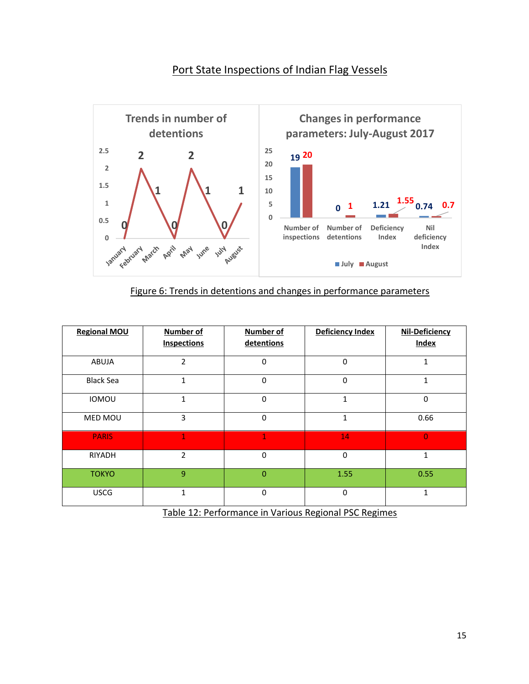## Port State Inspections of Indian Flag Vessels



| <b>Regional MOU</b> | <b>Number of</b><br><b>Inspections</b> | <b>Number of</b><br>detentions | <b>Deficiency Index</b> | <b>Nil-Deficiency</b><br><b>Index</b> |
|---------------------|----------------------------------------|--------------------------------|-------------------------|---------------------------------------|
| ABUJA               | $\overline{2}$                         | $\Omega$                       | $\mathbf 0$             | 1                                     |
| <b>Black Sea</b>    | $\mathbf{1}$                           | $\Omega$                       | $\mathbf 0$             | $\mathbf{1}$                          |
| <b>IOMOU</b>        | $\mathbf{1}$                           | $\Omega$                       | $\mathbf{1}$            | $\mathbf 0$                           |
| MED MOU             | 3                                      | $\Omega$                       | 1                       | 0.66                                  |
| <b>PARIS</b>        | $\mathbf{1}$                           | 1                              | 14                      | $\Omega$                              |
| <b>RIYADH</b>       | $\overline{2}$                         | $\mathbf 0$                    | $\boldsymbol{0}$        | 1                                     |
| <b>TOKYO</b>        | $\overline{9}$                         | $\Omega$                       | 1.55                    | 0.55                                  |
| <b>USCG</b>         | $\mathbf{1}$                           | $\Omega$                       | $\mathbf 0$             | $\mathbf{1}$                          |

Table 12: Performance in Various Regional PSC Regimes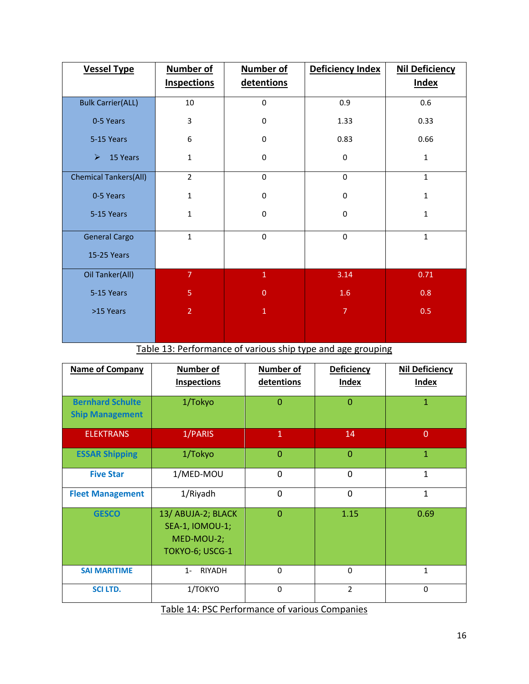| <b>Vessel Type</b>                | <b>Number of</b>   | <b>Number of</b> | Deficiency Index | <b>Nil Deficiency</b> |
|-----------------------------------|--------------------|------------------|------------------|-----------------------|
|                                   | <b>Inspections</b> | detentions       |                  | <b>Index</b>          |
| <b>Bulk Carrier(ALL)</b>          | 10                 | $\mathbf 0$      | 0.9              | 0.6                   |
| 0-5 Years                         | 3                  | $\pmb{0}$        | 1.33             | 0.33                  |
| 5-15 Years                        | 6                  | $\pmb{0}$        | 0.83             | 0.66                  |
| 15 Years<br>$\blacktriangleright$ | $1\,$              | $\mathbf 0$      | $\pmb{0}$        | $\mathbf{1}$          |
| <b>Chemical Tankers(All)</b>      | $\overline{2}$     | $\mathbf 0$      | 0                | $\mathbf{1}$          |
| 0-5 Years                         | $\mathbf{1}$       | $\pmb{0}$        | $\pmb{0}$        | $\mathbf{1}$          |
| 5-15 Years                        | $1\,$              | $\pmb{0}$        | $\pmb{0}$        | $\mathbf{1}$          |
| <b>General Cargo</b>              | $\mathbf{1}$       | $\mathbf 0$      | $\mathbf 0$      | $\mathbf{1}$          |
| 15-25 Years                       |                    |                  |                  |                       |
| Oil Tanker(All)                   | $\overline{7}$     | $\overline{1}$   | 3.14             | 0.71                  |
| 5-15 Years                        | 5                  | $\mathbf{0}$     | 1.6              | 0.8                   |
| >15 Years                         | $\overline{2}$     | $\overline{1}$   | $\overline{7}$   | 0.5                   |
|                                   |                    |                  |                  |                       |

Table 13: Performance of various ship type and age grouping

| <b>Name of Company</b>                            | <b>Number of</b><br><b>Inspections</b>                                        | Number of<br>detentions | <b>Deficiency</b><br><b>Index</b> | <b>Nil Deficiency</b><br><b>Index</b> |  |
|---------------------------------------------------|-------------------------------------------------------------------------------|-------------------------|-----------------------------------|---------------------------------------|--|
| <b>Bernhard Schulte</b><br><b>Ship Management</b> | 1/Tokyo                                                                       | $\mathbf{0}$            | $\Omega$                          | $\mathbf{1}$                          |  |
| <b>ELEKTRANS</b>                                  | 1/PARIS                                                                       | $\mathbf{1}$            | 14                                | $\overline{0}$                        |  |
| 1/Tokyo<br><b>ESSAR Shipping</b>                  |                                                                               | $\Omega$                |                                   | $\mathbf{1}$                          |  |
| <b>Five Star</b>                                  | 1/MED-MOU                                                                     | $\overline{0}$          | $\overline{0}$                    | $\mathbf{1}$                          |  |
| <b>Fleet Management</b>                           | 1/Riyadh                                                                      | $\overline{0}$          | $\overline{0}$                    | $\mathbf{1}$                          |  |
| <b>GESCO</b>                                      | 13/ ABUJA-2; BLACK<br><b>SEA-1, IOMOU-1;</b><br>MED-MOU-2;<br>TOKYO-6; USCG-1 | $\Omega$                | 1.15                              | 0.69                                  |  |
| <b>SAI MARITIME</b>                               | RIYADH<br>$1 -$                                                               | $\mathbf 0$             | $\Omega$                          | $\mathbf{1}$                          |  |
| <b>SCILTD.</b>                                    | 1/TOKYO                                                                       | $\mathbf 0$             | $\overline{2}$                    | $\Omega$                              |  |
|                                                   | Table 14: PSC Performance of various Companies                                |                         |                                   |                                       |  |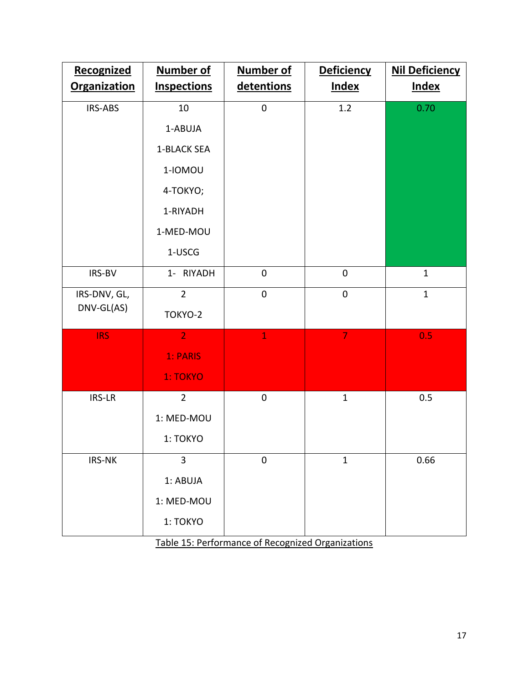| Recognized<br><b>Organization</b> | <b>Number of</b><br><b>Inspections</b> | <b>Number of</b><br>detentions | <b>Deficiency</b><br><b>Index</b> | <b>Nil Deficiency</b><br><b>Index</b> |  |
|-----------------------------------|----------------------------------------|--------------------------------|-----------------------------------|---------------------------------------|--|
|                                   |                                        |                                |                                   |                                       |  |
| IRS-ABS                           | 10                                     | $\overline{0}$                 | 1.2                               | 0.70                                  |  |
|                                   | 1-ABUJA                                |                                |                                   |                                       |  |
|                                   | 1-BLACK SEA                            |                                |                                   |                                       |  |
|                                   | 1-IOMOU                                |                                |                                   |                                       |  |
|                                   | 4-TOKYO;                               |                                |                                   |                                       |  |
|                                   | 1-RIYADH                               |                                |                                   |                                       |  |
|                                   | 1-MED-MOU                              |                                |                                   |                                       |  |
|                                   | 1-USCG                                 |                                |                                   |                                       |  |
| IRS-BV                            | 1- RIYADH                              | $\pmb{0}$                      | $\boldsymbol{0}$                  | $\mathbf{1}$                          |  |
| IRS-DNV, GL,                      | $\overline{2}$                         | $\mathbf 0$                    | $\overline{0}$                    | $\mathbf{1}$                          |  |
| DNV-GL(AS)                        | TOKYO-2                                |                                |                                   |                                       |  |
| <b>IRS</b>                        | $\overline{2}$                         | $\mathbf{1}$                   | $\overline{7}$                    | 0.5                                   |  |
|                                   | 1: PARIS                               |                                |                                   |                                       |  |
|                                   | 1: TOKYO                               |                                |                                   |                                       |  |
| IRS-LR                            | $\overline{2}$                         | $\mathbf 0$                    | $\mathbf{1}$                      | 0.5                                   |  |
|                                   | 1: MED-MOU                             |                                |                                   |                                       |  |
|                                   | 1: TOKYO                               |                                |                                   |                                       |  |
| IRS-NK                            | $\overline{3}$                         | $\boldsymbol{0}$               | $\mathbf{1}$                      | 0.66                                  |  |
|                                   | 1: ABUJA                               |                                |                                   |                                       |  |
|                                   | 1: MED-MOU                             |                                |                                   |                                       |  |
|                                   | 1: TOKYO                               |                                |                                   |                                       |  |

Table 15: Performance of Recognized Organizations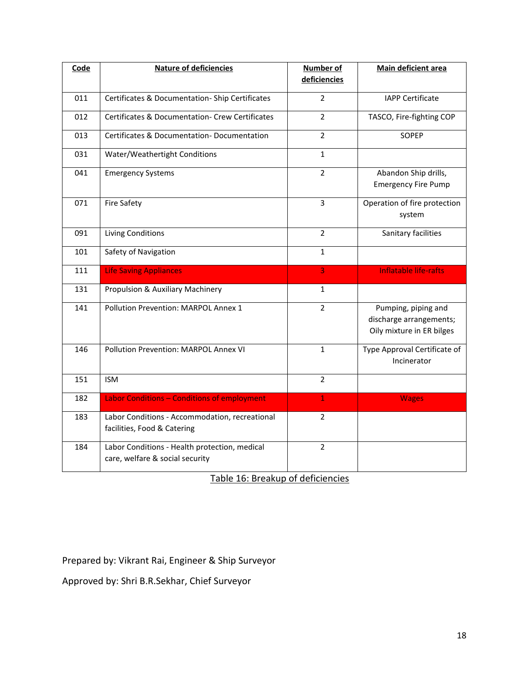| Code | <b>Nature of deficiencies</b>                                                    | Number of<br>deficiencies | Main deficient area                                                         |
|------|----------------------------------------------------------------------------------|---------------------------|-----------------------------------------------------------------------------|
|      |                                                                                  |                           |                                                                             |
| 011  | Certificates & Documentation-Ship Certificates                                   | $\overline{2}$            | <b>IAPP Certificate</b>                                                     |
| 012  | Certificates & Documentation- Crew Certificates                                  | $\overline{2}$            | TASCO, Fire-fighting COP                                                    |
| 013  | Certificates & Documentation-Documentation                                       | $\overline{2}$            | SOPEP                                                                       |
| 031  | Water/Weathertight Conditions                                                    | $\mathbf{1}$              |                                                                             |
| 041  | <b>Emergency Systems</b>                                                         | $\overline{2}$            | Abandon Ship drills,<br><b>Emergency Fire Pump</b>                          |
| 071  | <b>Fire Safety</b>                                                               | 3                         | Operation of fire protection<br>system                                      |
| 091  | <b>Living Conditions</b>                                                         | $\overline{2}$            | Sanitary facilities                                                         |
| 101  | Safety of Navigation                                                             | $\mathbf{1}$              |                                                                             |
| 111  | <b>Life Saving Appliances</b>                                                    | 3                         | <b>Inflatable life-rafts</b>                                                |
| 131  | Propulsion & Auxiliary Machinery                                                 | $\mathbf{1}$              |                                                                             |
| 141  | Pollution Prevention: MARPOL Annex 1                                             | $\overline{2}$            | Pumping, piping and<br>discharge arrangements;<br>Oily mixture in ER bilges |
| 146  | Pollution Prevention: MARPOL Annex VI                                            | $\mathbf{1}$              | Type Approval Certificate of<br>Incinerator                                 |
| 151  | <b>ISM</b>                                                                       | $\overline{2}$            |                                                                             |
| 182  | Labor Conditions - Conditions of employment                                      | $\mathbf{1}$              | <b>Wages</b>                                                                |
| 183  | Labor Conditions - Accommodation, recreational<br>facilities, Food & Catering    | $\overline{2}$            |                                                                             |
| 184  | Labor Conditions - Health protection, medical<br>care, welfare & social security | $\overline{2}$            |                                                                             |

Table 16: Breakup of deficiencies

Prepared by: Vikrant Rai, Engineer & Ship Surveyor

Approved by: Shri B.R.Sekhar, Chief Surveyor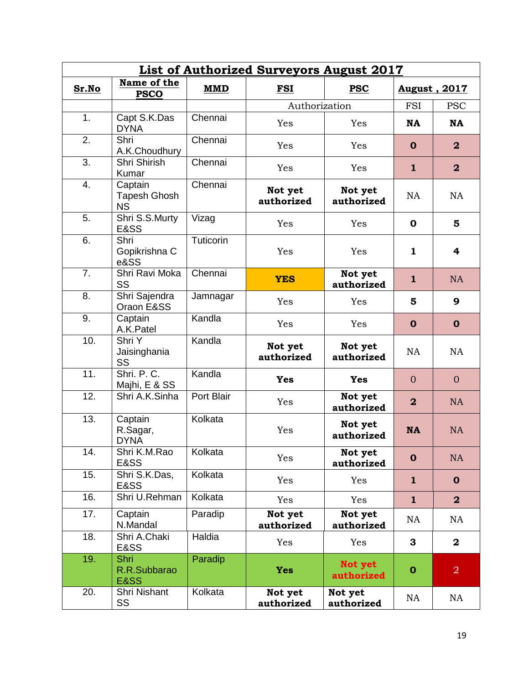|                | <b>List of Authorized Surveyors August 2017</b> |            |                       |                       |                         |                         |  |
|----------------|-------------------------------------------------|------------|-----------------------|-----------------------|-------------------------|-------------------------|--|
| Sr.No          | Name of the<br><b>PSCO</b>                      | <b>MMD</b> | FSI                   | <b>PSC</b>            |                         | August, 2017            |  |
|                |                                                 |            | Authorization         |                       | <b>FSI</b>              | <b>PSC</b>              |  |
| 1 <sub>1</sub> | Capt S.K.Das<br><b>DYNA</b>                     | Chennai    | Yes                   | Yes                   | <b>NA</b>               | <b>NA</b>               |  |
| 2.             | Shri<br>A.K.Choudhury                           | Chennai    | Yes                   | Yes                   | $\mathbf 0$             | $\overline{\mathbf{2}}$ |  |
| 3.             | Shri Shirish<br>Kumar                           | Chennai    | Yes                   | Yes                   | 1                       | $\overline{2}$          |  |
| 4.             | Captain<br>Tapesh Ghosh<br><b>NS</b>            | Chennai    | Not yet<br>authorized | Not yet<br>authorized | <b>NA</b>               | <b>NA</b>               |  |
| 5.             | Shri S.S.Murty<br>E&SS                          | Vizag      | Yes                   | Yes                   | $\mathbf 0$             | 5                       |  |
| 6.             | Shri<br>Gopikrishna C<br>e&SS                   | Tuticorin  | Yes                   | Yes                   | 1                       | 4                       |  |
| 7 <sub>1</sub> | Shri Ravi Moka<br>SS                            | Chennai    | <b>YES</b>            | Not yet<br>authorized | 1                       | <b>NA</b>               |  |
| 8.             | Shri Sajendra<br>Oraon E&SS                     | Jamnagar   | Yes                   | Yes                   | 5                       | 9                       |  |
| 9.             | Captain<br>A.K.Patel                            | Kandla     | Yes                   | Yes                   | $\mathbf 0$             | $\mathbf 0$             |  |
| 10.            | Shri Y<br>Jaisinghania<br>SS                    | Kandla     | Not yet<br>authorized | Not yet<br>authorized | <b>NA</b>               | <b>NA</b>               |  |
| 11.            | Shri, P.C.<br>Majhi, E & SS                     | Kandla     | <b>Yes</b>            | <b>Yes</b>            | $\Omega$                | $\mathbf{0}$            |  |
| 12.            | Shri A.K.Sinha                                  | Port Blair | Yes                   | Not yet<br>authorized | $\overline{\mathbf{2}}$ | <b>NA</b>               |  |
| 13.            | Captain<br>R.Sagar,<br><b>DYNA</b>              | Kolkata    | Yes                   | Not yet<br>authorized | <b>NA</b>               | <b>NA</b>               |  |
| 14.            | Shri K.M.Rao<br>E&SS                            | Kolkata    | Yes                   | Not yet<br>authorized | $\mathbf 0$             | <b>NA</b>               |  |
| 15.            | Shri S.K.Das,<br>E&SS                           | Kolkata    | Yes                   | Yes                   | $\mathbf{1}$            | $\mathbf 0$             |  |
| 16.            | Shri U.Rehman                                   | Kolkata    | Yes                   | Yes                   | $\mathbf{1}$            | $\overline{\mathbf{2}}$ |  |
| 17.            | Captain<br>N.Mandal                             | Paradip    | Not yet<br>authorized | Not yet<br>authorized | NA                      | NA                      |  |
| 18.            | Shri A.Chaki<br>E&SS                            | Haldia     | Yes                   | Yes                   | 3                       | $\overline{\mathbf{2}}$ |  |
| 19.            | Shri<br>R.R.Subbarao<br><b>E&amp;SS</b>         | Paradip    | <b>Yes</b>            | Not yet<br>authorized | $\mathbf 0$             | $\overline{2}$          |  |
| 20.            | Shri Nishant<br>SS                              | Kolkata    | Not yet<br>authorized | Not yet<br>authorized | NA                      | <b>NA</b>               |  |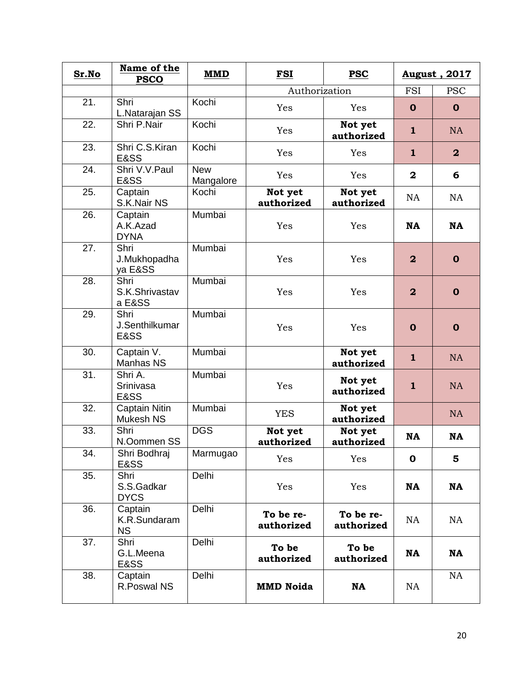| Sr.No             | Name of the<br><b>PSCO</b>                | <b>MMD</b>              | <b>FSI</b>              | <b>PSC</b>              |                  | August, 2017            |
|-------------------|-------------------------------------------|-------------------------|-------------------------|-------------------------|------------------|-------------------------|
|                   |                                           |                         | Authorization           |                         | <b>FSI</b>       | <b>PSC</b>              |
| 21.               | Shri<br>L.Natarajan SS                    | Kochi                   | Yes                     | Yes                     | $\mathbf 0$      | $\mathbf 0$             |
| 22.               | Shri P.Nair                               | Kochi                   | Yes                     | Not yet<br>authorized   | $\mathbf{1}$     | <b>NA</b>               |
| 23.               | Shri C.S.Kiran<br>E&SS                    | Kochi                   | Yes                     | Yes                     | 1                | $\overline{\mathbf{2}}$ |
| 24.               | Shri V.V.Paul<br>E&SS                     | <b>New</b><br>Mangalore | Yes                     | Yes                     | $\overline{2}$   | 6                       |
| 25.               | Captain<br>S.K.Nair NS                    | Kochi                   | Not yet<br>authorized   | Not yet<br>authorized   | <b>NA</b>        | <b>NA</b>               |
| 26.               | Captain<br>A.K.Azad<br><b>DYNA</b>        | Mumbai                  | Yes                     | Yes                     | <b>NA</b>        | <b>NA</b>               |
| 27.               | Shri<br>J.Mukhopadha<br>ya E&SS           | Mumbai                  | Yes                     | Yes                     | $\overline{2}$   | $\mathbf 0$             |
| 28.               | Shri<br>S.K.Shrivastav<br>a E&SS          | Mumbai                  | Yes                     | Yes                     | $\boldsymbol{2}$ | $\mathbf 0$             |
| 29.               | Shri<br>J.Senthilkumar<br><b>E&amp;SS</b> | Mumbai                  | Yes                     | Yes                     | $\mathbf 0$      | $\mathbf 0$             |
| $\overline{30}$ . | Captain V.<br>Manhas NS                   | Mumbai                  |                         | Not yet<br>authorized   | $\mathbf{1}$     | <b>NA</b>               |
| 31.               | Shri A.<br>Srinivasa<br>E&SS              | Mumbai                  | Yes                     | Not yet<br>authorized   | 1                | <b>NA</b>               |
| 32.               | <b>Captain Nitin</b><br><b>Mukesh NS</b>  | Mumbai                  | <b>YES</b>              | Not yet<br>authorized   |                  | <b>NA</b>               |
| 33.               | Shri<br>N.Oommen SS                       | <b>DGS</b>              | Not yet<br>authorized   | Not yet<br>authorized   | <b>NA</b>        | <b>NA</b>               |
| 34.               | Shri Bodhraj<br>E&SS                      | Marmugao                | Yes                     | Yes                     | $\mathbf 0$      | 5                       |
| 35.               | Shri<br>S.S.Gadkar<br><b>DYCS</b>         | Delhi                   | Yes                     | Yes                     | <b>NA</b>        | NA                      |
| 36.               | Captain<br>K.R.Sundaram<br><b>NS</b>      | Delhi                   | To be re-<br>authorized | To be re-<br>authorized | NA               | NA                      |
| 37.               | Shri<br>G.L.Meena<br>E&SS                 | Delhi                   | To be<br>authorized     | To be<br>authorized     | <b>NA</b>        | <b>NA</b>               |
| 38.               | Captain<br>R.Poswal NS                    | Delhi                   | <b>MMD Noida</b>        | <b>NA</b>               | NA               | <b>NA</b>               |